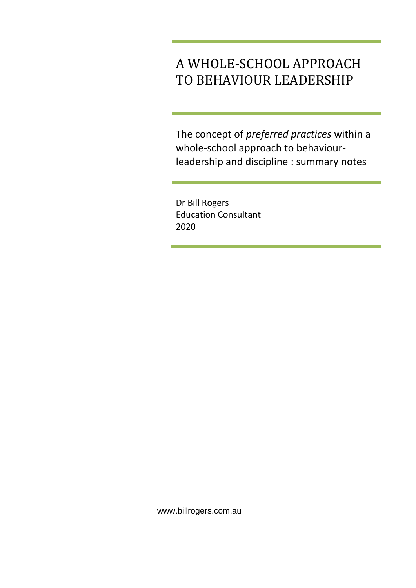# A WHOLE-SCHOOL APPROACH TO BEHAVIOUR LEADERSHIP

The concept of *preferred practices* within a whole-school approach to behaviourleadership and discipline : summary notes

Dr Bill Rogers Education Consultant 2020

www.billrogers.com.au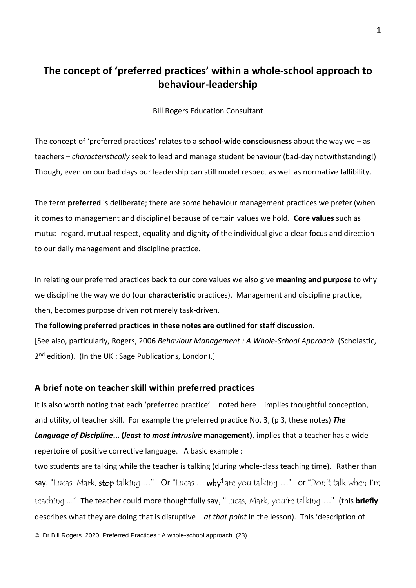# **The concept of 'preferred practices' within a whole-school approach to behaviour-leadership**

Bill Rogers Education Consultant

The concept of 'preferred practices' relates to a **school-wide consciousness** about the way we – as teachers – *characteristically* seek to lead and manage student behaviour (bad-day notwithstanding!) Though, even on our bad days our leadership can still model respect as well as normative fallibility.

The term **preferred** is deliberate; there are some behaviour management practices we prefer (when it comes to management and discipline) because of certain values we hold. **Core values** such as mutual regard, mutual respect, equality and dignity of the individual give a clear focus and direction to our daily management and discipline practice.

In relating our preferred practices back to our core values we also give **meaning and purpose** to why we discipline the way we do (our **characteristic** practices). Management and discipline practice, then, becomes purpose driven not merely task-driven.

**The following preferred practices in these notes are outlined for staff discussion.**

[See also, particularly, Rogers, 2006 *Behaviour Management : A Whole-School Approach* (Scholastic, 2<sup>nd</sup> edition). (In the UK : Sage Publications, London).]

#### **A brief note on teacher skill within preferred practices**

It is also worth noting that each 'preferred practice' – noted here – implies thoughtful conception, and utility, of teacher skill. For example the preferred practice No. 3, (p 3, these notes) *The Language of Discipline***... (***least to most intrusive* **management)**, implies that a teacher has a wide repertoire of positive corrective language. A basic example :

two students are talking while the teacher is talking (during whole-class teaching time). Rather than say, "Lucas, Mark, stop talking ..." Or "Lucas ... why<sup>1</sup> are you talking ..." or "Don't talk when I'm teaching ...". The teacher could more thoughtfully say, "Lucas, Mark, you're talking …" (this **briefly** describes what they are doing that is disruptive – *at that point* in the lesson). This 'description of

© Dr Bill Rogers 2020 Preferred Practices : A whole-school approach (23)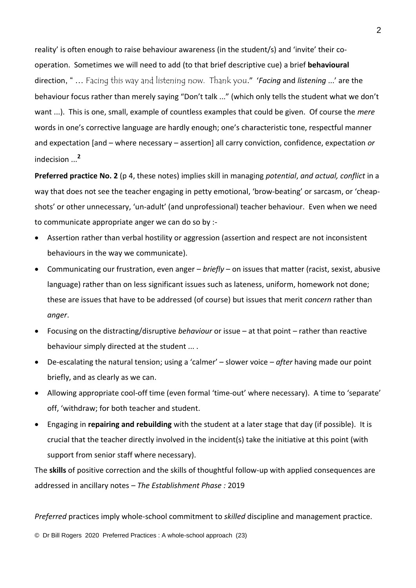reality' is often enough to raise behaviour awareness (in the student/s) and 'invite' their cooperation. Sometimes we will need to add (to that brief descriptive cue) a brief **behavioural** direction, " … Facing this way and listening now. Thank you." '*Facing* and *listening* ...' are the behaviour focus rather than merely saying "Don't talk ..." (which only tells the student what we don't want ...). This is one, small, example of countless examples that could be given. Of course the *mere* words in one's corrective language are hardly enough; one's characteristic tone, respectful manner and expectation [and – where necessary – assertion] all carry conviction, confidence, expectation *or* indecision ...**<sup>2</sup>**

**Preferred practice No. 2** (p 4, these notes) implies skill in managing *potential*, *and actual, conflict* in a way that does not see the teacher engaging in petty emotional, 'brow-beating' or sarcasm, or 'cheapshots' or other unnecessary, 'un-adult' (and unprofessional) teacher behaviour. Even when we need to communicate appropriate anger we can do so by :-

- Assertion rather than verbal hostility or aggression (assertion and respect are not inconsistent behaviours in the way we communicate).
- Communicating our frustration, even anger *briefly* on issues that matter (racist, sexist, abusive language) rather than on less significant issues such as lateness, uniform, homework not done; these are issues that have to be addressed (of course) but issues that merit *concern* rather than *anger*.
- Focusing on the distracting/disruptive *behaviour* or issue at that point rather than reactive behaviour simply directed at the student ... .
- De-escalating the natural tension; using a 'calmer' slower voice *after* having made our point briefly, and as clearly as we can.
- Allowing appropriate cool-off time (even formal 'time-out' where necessary). A time to 'separate' off, 'withdraw; for both teacher and student.
- Engaging in **repairing and rebuilding** with the student at a later stage that day (if possible). It is crucial that the teacher directly involved in the incident(s) take the initiative at this point (with support from senior staff where necessary).

The **skills** of positive correction and the skills of thoughtful follow-up with applied consequences are addressed in ancillary notes – *The Establishment Phase :* 2019

*Preferred* practices imply whole-school commitment to *skilled* discipline and management practice.

© Dr Bill Rogers 2020 Preferred Practices : A whole-school approach (23)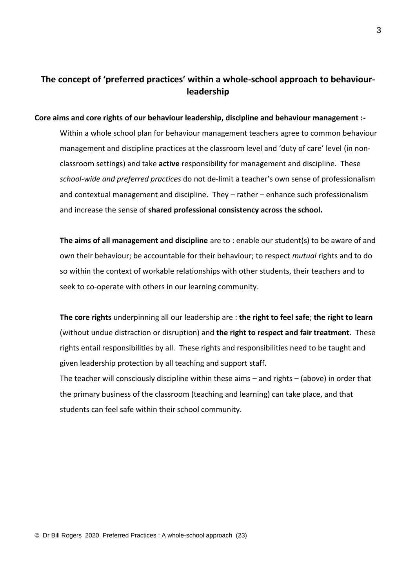## **The concept of 'preferred practices' within a whole-school approach to behaviourleadership**

#### **Core aims and core rights of our behaviour leadership, discipline and behaviour management :-**

Within a whole school plan for behaviour management teachers agree to common behaviour management and discipline practices at the classroom level and 'duty of care' level (in nonclassroom settings) and take **active** responsibility for management and discipline. These *school-wide and preferred practices* do not de-limit a teacher's own sense of professionalism and contextual management and discipline. They – rather – enhance such professionalism and increase the sense of **shared professional consistency across the school.**

**The aims of all management and discipline** are to : enable our student(s) to be aware of and own their behaviour; be accountable for their behaviour; to respect *mutual* rights and to do so within the context of workable relationships with other students, their teachers and to seek to co-operate with others in our learning community.

**The core rights** underpinning all our leadership are : **the right to feel safe**; **the right to learn** (without undue distraction or disruption) and **the right to respect and fair treatment**. These rights entail responsibilities by all. These rights and responsibilities need to be taught and given leadership protection by all teaching and support staff.

The teacher will consciously discipline within these aims – and rights – (above) in order that the primary business of the classroom (teaching and learning) can take place, and that students can feel safe within their school community.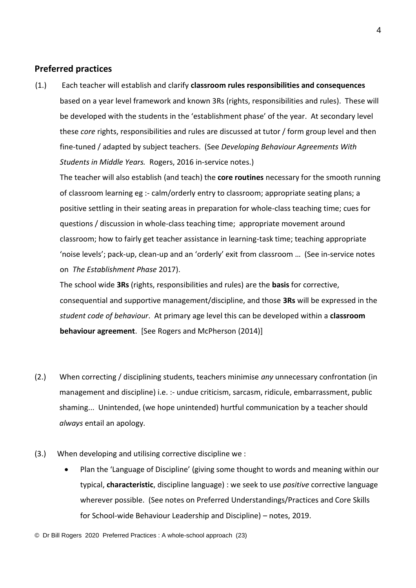#### **Preferred practices**

(1.) Each teacher will establish and clarify **classroom rules responsibilities and consequences** based on a year level framework and known 3Rs (rights, responsibilities and rules). These will be developed with the students in the 'establishment phase' of the year. At secondary level these *core* rights, responsibilities and rules are discussed at tutor / form group level and then fine-tuned / adapted by subject teachers. (See *Developing Behaviour Agreements With Students in Middle Years.* Rogers, 2016 in-service notes.)

The teacher will also establish (and teach) the **core routines** necessary for the smooth running of classroom learning eg :- calm/orderly entry to classroom; appropriate seating plans; a positive settling in their seating areas in preparation for whole-class teaching time; cues for questions / discussion in whole-class teaching time; appropriate movement around classroom; how to fairly get teacher assistance in learning-task time; teaching appropriate 'noise levels'; pack-up, clean-up and an 'orderly' exit from classroom … (See in-service notes on *The Establishment Phase* 2017).

The school wide **3Rs** (rights, responsibilities and rules) are the **basis** for corrective, consequential and supportive management/discipline, and those **3Rs** will be expressed in the *student code of behaviour*. At primary age level this can be developed within a **classroom behaviour agreement**. [See Rogers and McPherson (2014)]

- (2.) When correcting / disciplining students, teachers minimise *any* unnecessary confrontation (in management and discipline) i.e. :- undue criticism, sarcasm, ridicule, embarrassment, public shaming... Unintended, (we hope unintended) hurtful communication by a teacher should *always* entail an apology.
- (3.) When developing and utilising corrective discipline we :
	- Plan the 'Language of Discipline' (giving some thought to words and meaning within our typical, **characteristic**, discipline language) : we seek to use *positive* corrective language wherever possible. (See notes on Preferred Understandings/Practices and Core Skills for School-wide Behaviour Leadership and Discipline) – notes, 2019.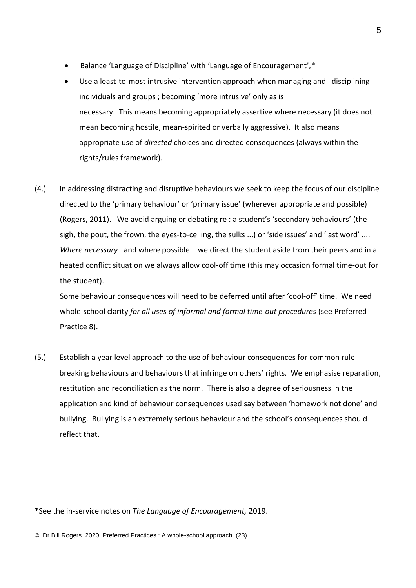- Balance 'Language of Discipline' with 'Language of Encouragement',\*
- Use a least-to-most intrusive intervention approach when managing and disciplining individuals and groups ; becoming 'more intrusive' only as is necessary. This means becoming appropriately assertive where necessary (it does not mean becoming hostile, mean-spirited or verbally aggressive). It also means appropriate use of *directed* choices and directed consequences (always within the rights/rules framework).
- (4.) In addressing distracting and disruptive behaviours we seek to keep the focus of our discipline directed to the 'primary behaviour' or 'primary issue' (wherever appropriate and possible) (Rogers, 2011). We avoid arguing or debating re : a student's 'secondary behaviours' (the sigh, the pout, the frown, the eyes-to-ceiling, the sulks ...) or 'side issues' and 'last word' .... *Where necessary* –and where possible – we direct the student aside from their peers and in a heated conflict situation we always allow cool-off time (this may occasion formal time-out for the student).

Some behaviour consequences will need to be deferred until after 'cool-off' time. We need whole-school clarity *for all uses of informal and formal time-out procedures* (see Preferred Practice 8).

(5.) Establish a year level approach to the use of behaviour consequences for common rulebreaking behaviours and behaviours that infringe on others' rights. We emphasise reparation, restitution and reconciliation as the norm. There is also a degree of seriousness in the application and kind of behaviour consequences used say between 'homework not done' and bullying. Bullying is an extremely serious behaviour and the school's consequences should reflect that.

© Dr Bill Rogers 2020 Preferred Practices : A whole-school approach (23)

<sup>\*</sup>See the in-service notes on *The Language of Encouragement,* 2019.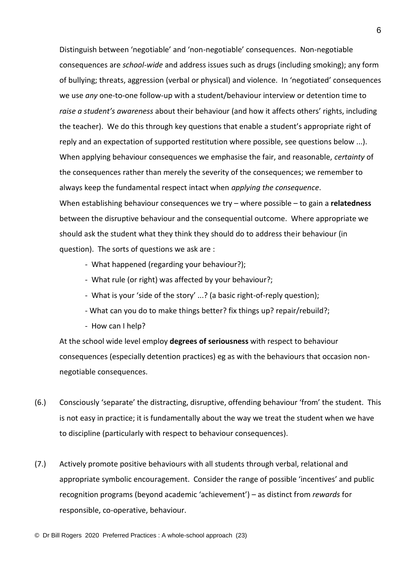Distinguish between 'negotiable' and 'non-negotiable' consequences. Non-negotiable consequences are *school-wide* and address issues such as drugs (including smoking); any form of bullying; threats, aggression (verbal or physical) and violence. In 'negotiated' consequences we use *any* one-to-one follow-up with a student/behaviour interview or detention time to *raise a student's awareness* about their behaviour (and how it affects others' rights, including the teacher). We do this through key questions that enable a student's appropriate right of reply and an expectation of supported restitution where possible, see questions below ...). When applying behaviour consequences we emphasise the fair, and reasonable, *certainty* of the consequences rather than merely the severity of the consequences; we remember to always keep the fundamental respect intact when *applying the consequence*. When establishing behaviour consequences we try – where possible – to gain a **relatedness** between the disruptive behaviour and the consequential outcome. Where appropriate we should ask the student what they think they should do to address their behaviour (in question). The sorts of questions we ask are :

- What happened (regarding your behaviour?);
- What rule (or right) was affected by your behaviour?;
- What is your 'side of the story' ...? (a basic right-of-reply question);
- What can you do to make things better? fix things up? repair/rebuild?;
- How can I help?

At the school wide level employ **degrees of seriousness** with respect to behaviour consequences (especially detention practices) eg as with the behaviours that occasion nonnegotiable consequences.

- (6.) Consciously 'separate' the distracting, disruptive, offending behaviour 'from' the student. This is not easy in practice; it is fundamentally about the way we treat the student when we have to discipline (particularly with respect to behaviour consequences).
- (7.) Actively promote positive behaviours with all students through verbal, relational and appropriate symbolic encouragement. Consider the range of possible 'incentives' and public recognition programs (beyond academic 'achievement') – as distinct from *rewards* for responsible, co-operative, behaviour.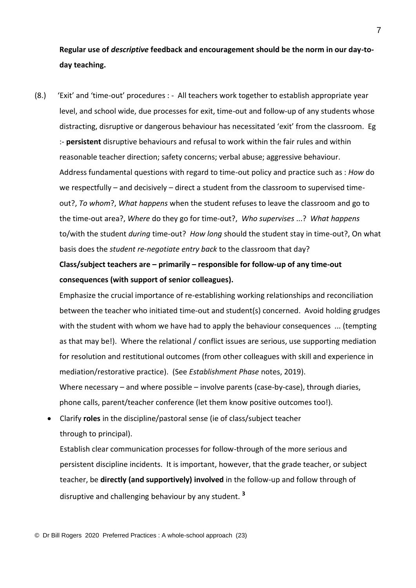**Regular use of** *descriptive* **feedback and encouragement should be the norm in our day-today teaching.**

(8.) 'Exit' and 'time-out' procedures : - All teachers work together to establish appropriate year level, and school wide, due processes for exit, time-out and follow-up of any students whose distracting, disruptive or dangerous behaviour has necessitated 'exit' from the classroom. Eg :- **persistent** disruptive behaviours and refusal to work within the fair rules and within reasonable teacher direction; safety concerns; verbal abuse; aggressive behaviour. Address fundamental questions with regard to time-out policy and practice such as : *How* do we respectfully – and decisively – direct a student from the classroom to supervised timeout?, *To whom*?, *What happens* when the student refuses to leave the classroom and go to the time-out area?, *Where* do they go for time-out?, *Who supervises* ...? *What happens* to/with the student *during* time-out? *How long* should the student stay in time-out?, On what basis does the *student re-negotiate entry back* to the classroom that day?

**Class/subject teachers are – primarily – responsible for follow-up of any time-out consequences (with support of senior colleagues).** 

Emphasize the crucial importance of re-establishing working relationships and reconciliation between the teacher who initiated time-out and student(s) concerned. Avoid holding grudges with the student with whom we have had to apply the behaviour consequences ... (tempting as that may be!). Where the relational / conflict issues are serious, use supporting mediation for resolution and restitutional outcomes (from other colleagues with skill and experience in mediation/restorative practice). (See *Establishment Phase* notes, 2019). Where necessary – and where possible – involve parents (case-by-case), through diaries, phone calls, parent/teacher conference (let them know positive outcomes too!).

• Clarify **roles** in the discipline/pastoral sense (ie of class/subject teacher through to principal).

Establish clear communication processes for follow-through of the more serious and persistent discipline incidents. It is important, however, that the grade teacher, or subject teacher, be **directly (and supportively) involved** in the follow-up and follow through of disruptive and challenging behaviour by any student. **<sup>3</sup>**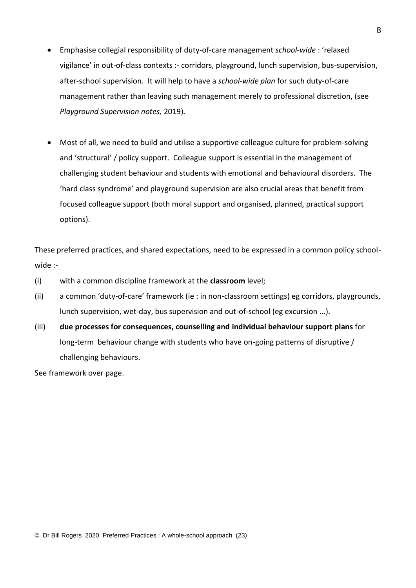- Emphasise collegial responsibility of duty-of-care management *school-wide* : 'relaxed vigilance' in out-of-class contexts :- corridors, playground, lunch supervision, bus-supervision, after-school supervision. It will help to have a *school-wide plan* for such duty-of-care management rather than leaving such management merely to professional discretion, (see *Playground Supervision notes,* 2019)*.*
- Most of all, we need to build and utilise a supportive colleague culture for problem-solving and 'structural' / policy support. Colleague support is essential in the management of challenging student behaviour and students with emotional and behavioural disorders. The 'hard class syndrome' and playground supervision are also crucial areas that benefit from focused colleague support (both moral support and organised, planned, practical support options).

These preferred practices, and shared expectations, need to be expressed in a common policy schoolwide :-

- (i) with a common discipline framework at the **classroom** level;
- (ii) a common 'duty-of-care' framework (ie : in non-classroom settings) eg corridors, playgrounds, lunch supervision, wet-day, bus supervision and out-of-school (eg excursion ...).
- (iii) **due processes for consequences, counselling and individual behaviour support plans** for long-term behaviour change with students who have on-going patterns of disruptive / challenging behaviours.

See framework over page.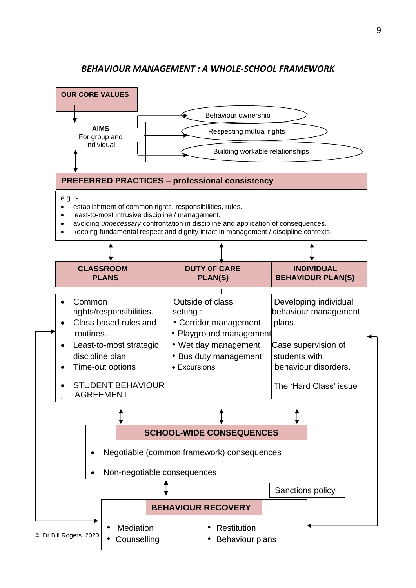### *BEHAVIOUR MANAGEMENT : A WHOLE-SCHOOL FRAMEWORK*

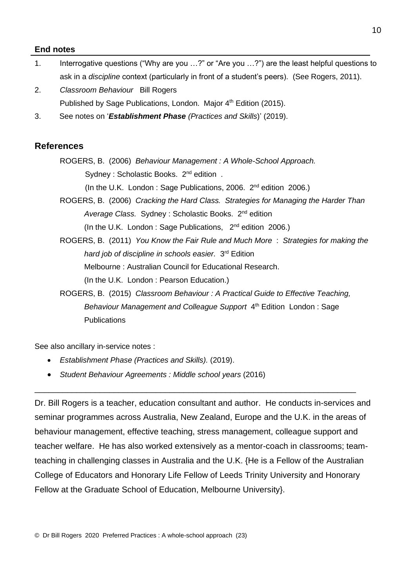#### **End notes**

- 1. Interrogative questions ("Why are you …?" or "Are you …?") are the least helpful questions to ask in a *discipline* context (particularly in front of a student's peers). (See Rogers, 2011).
- 2. *Classroom Behaviour* Bill Rogers Published by Sage Publications, London. Major 4<sup>th</sup> Edition (2015).
- 3. See notes on '*Establishment Phase (Practices and Skills*)' (2019).

#### **References**

ROGERS, B. (2006) *Behaviour Management : A Whole-School Approach.* Sydney: Scholastic Books. 2<sup>nd</sup> edition. (In the U.K. London: Sage Publications, 2006. 2<sup>nd</sup> edition 2006.)

- ROGERS, B. (2006) *Cracking the Hard Class. Strategies for Managing the Harder Than*  Average Class. Sydney: Scholastic Books. 2<sup>nd</sup> edition (In the U.K. London : Sage Publications, 2 nd edition 2006.)
- ROGERS, B. (2011) *You Know the Fair Rule and Much More* : *Strategies for making the*  hard job of discipline in schools easier. 3<sup>rd</sup> Edition Melbourne : Australian Council for Educational Research. (In the U.K. London : Pearson Education.)
- ROGERS, B. (2015) *Classroom Behaviour : A Practical Guide to Effective Teaching,*  Behaviour Management and Colleague Support 4<sup>th</sup> Edition London: Sage **Publications**

See also ancillary in-service notes :

- *Establishment Phase (Practices and Skills).* (2019).
- *Student Behaviour Agreements : Middle school years (2016)*

Dr. Bill Rogers is a teacher, education consultant and author. He conducts in-services and seminar programmes across Australia, New Zealand, Europe and the U.K. in the areas of behaviour management, effective teaching, stress management, colleague support and teacher welfare. He has also worked extensively as a mentor-coach in classrooms; teamteaching in challenging classes in Australia and the U.K. {He is a Fellow of the Australian College of Educators and Honorary Life Fellow of Leeds Trinity University and Honorary Fellow at the Graduate School of Education, Melbourne University}.

\_\_\_\_\_\_\_\_\_\_\_\_\_\_\_\_\_\_\_\_\_\_\_\_\_\_\_\_\_\_\_\_\_\_\_\_\_\_\_\_\_\_\_\_\_\_\_\_\_\_\_\_\_\_\_\_\_\_\_\_\_\_\_\_\_\_\_\_\_